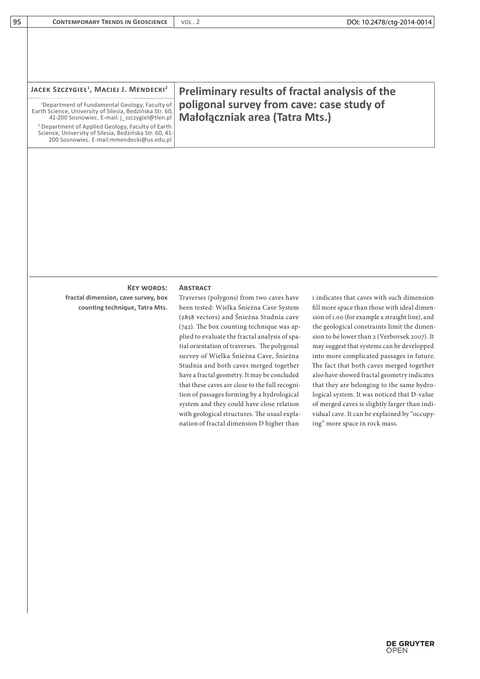| JACEK SZCZYGIEŁ <sup>1</sup> , MACIEJ J. MENDECKI <sup>2</sup>                                                                                                          | <b>Preliminary results of fractal analysis of the</b>                       |
|-------------------------------------------------------------------------------------------------------------------------------------------------------------------------|-----------------------------------------------------------------------------|
| <sup>1</sup> Department of Fundamental Geology, Faculty of<br>Earth Science, University of Silesia, Bedzińska Str. 60,<br>41-200 Sosnowiec. E-mail: j_szczygiel@tlen.pl | poligonal survey from cave: case study of<br>Małołączniak area (Tatra Mts.) |
| <sup>2</sup> Department of Applied Geology, Faculty of Earth<br>Science, University of Silesia, Bedzińska Str. 60, 41-<br>200 Sosnowiec. E-mail:mmendecki@us.edu.pl     |                                                                             |

## **Key words: Abstract**

**fractal dimension, cave survey, box counting technique, Tatra Mts.**

**95 CONTEMPORARY TRENDS IN GEOSCIENCE VOL. 2** 

Traverses (polygons) from two caves have been tested: Wielka Śnieżna Cave System (2858 vectors) and Śnieżna Studnia cave (742). The box counting technique was applied to evaluate the fractal analysis of spatial orientation of traverses. The polygonal survey of Wielka Śnieżna Cave, Śnieżna Studnia and both caves merged together have a fractal geometry. It may be concluded that these caves are close to the full recognition of passages forming by a hydrological system and they could have close relation with geological structures. The usual explanation of fractal dimension D higher than

1 indicates that caves with such dimension fill more space than those with ideal dimension of 1.00 (for example a straight line), and the geological constraints limit the dimension to be lower than 2 (Verbovsek 2007). It may suggest that systems can be developped into more complicated passages in future. The fact that both caves merged together also have showed fractal geometry indicates that they are belonging to the same hydrological system. It was noticed that D-value of merged caves is slightly larger than individual cave. It can be explained by "occupying" more space in rock mass.

DOI: 10.2478/ctg-2014-0014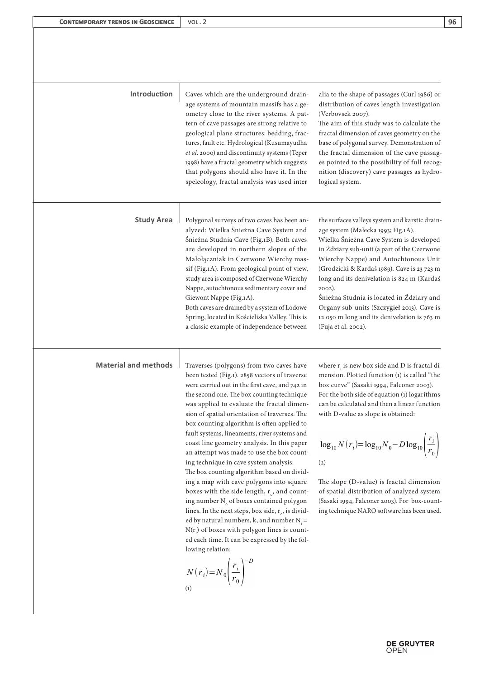| Introduction                | Caves which are the underground drain-<br>age systems of mountain massifs has a ge-<br>ometry close to the river systems. A pat-<br>tern of cave passages are strong relative to<br>geological plane structures: bedding, frac-<br>tures, fault etc. Hydrological (Kusumayudha<br>et al. 2000) and discontinuity systems (Teper<br>1998) have a fractal geometry which suggests<br>that polygons should also have it. In the<br>speleology, fractal analysis was used inter                                                                                                                                                                                                                                                                                                                                                                                                                                                                                                                                          | alia to the shape of passages (Curl 1986) or<br>distribution of caves length investigation<br>(Verbovsek 2007).<br>The aim of this study was to calculate the<br>fractal dimension of caves geometry on the<br>base of polygonal survey. Demonstration of<br>the fractal dimension of the cave passag-<br>es pointed to the possibility of full recog-<br>nition (discovery) cave passages as hydro-<br>logical system.                                                                                                                                              |
|-----------------------------|----------------------------------------------------------------------------------------------------------------------------------------------------------------------------------------------------------------------------------------------------------------------------------------------------------------------------------------------------------------------------------------------------------------------------------------------------------------------------------------------------------------------------------------------------------------------------------------------------------------------------------------------------------------------------------------------------------------------------------------------------------------------------------------------------------------------------------------------------------------------------------------------------------------------------------------------------------------------------------------------------------------------|----------------------------------------------------------------------------------------------------------------------------------------------------------------------------------------------------------------------------------------------------------------------------------------------------------------------------------------------------------------------------------------------------------------------------------------------------------------------------------------------------------------------------------------------------------------------|
| <b>Study Area</b>           | Polygonal surveys of two caves has been an-<br>alyzed: Wielka Śnieżna Cave System and<br>Śnieżna Studnia Cave (Fig.1B). Both caves<br>are developed in northern slopes of the<br>Małołączniak in Czerwone Wierchy mas-<br>sif (Fig.1A). From geological point of view,<br>study area is composed of Czerwone Wierchy<br>Nappe, autochtonous sedimentary cover and<br>Giewont Nappe (Fig.1A).<br>Both caves are drained by a system of Lodowe<br>Spring, located in Kościeliska Valley. This is<br>a classic example of independence between                                                                                                                                                                                                                                                                                                                                                                                                                                                                          | the surfaces valleys system and karstic drain-<br>age system (Małecka 1993; Fig.1A).<br>Wielka Śnieżna Cave System is developed<br>in Ździary sub-unit (a part of the Czerwone<br>Wierchy Nappe) and Autochtonous Unit<br>(Grodzicki & Kardaś 1989). Cave is 23 723 m<br>long and its denivelation is 824 m (Kardaś<br>2002).<br>Śnieżna Studnia is located in Ździary and<br>Organy sub-units (Szczygieł 2013). Cave is<br>12 050 m long and its denivelation is 763 m<br>(Fuja et al. 2002).                                                                       |
| <b>Material and methods</b> | Traverses (polygons) from two caves have<br>been tested (Fig.1). 2858 vectors of traverse<br>were carried out in the first cave, and 742 in<br>the second one. The box counting technique<br>was applied to evaluate the fractal dimen-<br>sion of spatial orientation of traverses. The<br>box counting algorithm is often applied to<br>fault systems, lineaments, river systems and<br>coast line geometry analysis. In this paper<br>an attempt was made to use the box count-<br>ing technique in cave system analysis.<br>The box counting algorithm based on divid-<br>ing a map with cave polygons into square<br>boxes with the side length, $r_o$ , and count-<br>ing number $N_{0}$ of boxes contained polygon<br>lines. In the next steps, box side, $r_a$ , is divid-<br>ed by natural numbers, k, and number $N_i =$<br>$N(r_i)$ of boxes with polygon lines is count-<br>ed each time. It can be expressed by the fol-<br>lowing relation:<br>$N(r_i) = N_0 \left(\frac{r_i}{r_0}\right)^{-D}$<br>(1) | where $r_i$ is new box side and D is fractal di-<br>mension. Plotted function (1) is called "the<br>box curve" (Sasaki 1994, Falconer 2003).<br>For the both side of equation (1) logarithms<br>can be calculated and then a linear function<br>with D-value as slope is obtained:<br>$\log_{10} N(r_i) = \log_{10} N_0 - D \log_{10} \left( \frac{r_i}{r_0} \right)$<br>(2)<br>The slope (D-value) is fractal dimension<br>of spatial distribution of analyzed system<br>(Sasaki 1994, Falconer 2003). For box-count-<br>ing technique NARO software has been used. |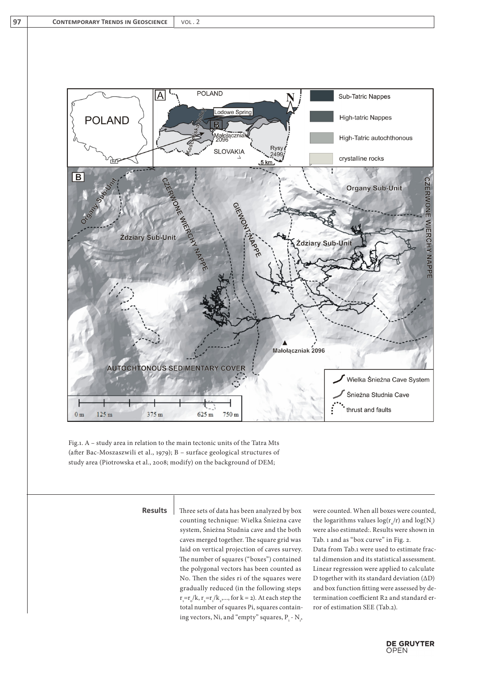

Fig.1. A – study area in relation to the main tectonic units of the Tatra Mts (after Bac-Moszaszwili et al., 1979); B – surface geological structures of study area (Piotrowska et al., 2008; modify) on the background of DEM;

**Results**

Three sets of data has been analyzed by box counting technique: Wielka Śnieżna cave system, Śnieżna Studnia cave and the both caves merged together. The square grid was laid on vertical projection of caves survey. The number of squares ("boxes") contained the polygonal vectors has been counted as N0. Then the sides ri of the squares were gradually reduced (in the following steps  $r_{1} = r_{0}/k$ ,  $r_{2} = r_{1}/k_{2}, \ldots$ , for  $k = 2$ ). At each step the total number of squares Pi, squares containing vectors, Ni, and "empty" squares,  $P_i$  -  $N_i$ , were counted. When all boxes were counted, the logarithms values  $log(r_o/r)$  and  $log(N_i)$ were also estimated:. Results were shown in Tab. 1 and as "box curve" in Fig. 2. Data from Tab.1 were used to estimate fractal dimension and its statistical assessment. Linear regression were applied to calculate D together with its standard deviation (ΔD) and box function fitting were assessed by determination coefficient R2 and standard error of estimation SEE (Tab.2).

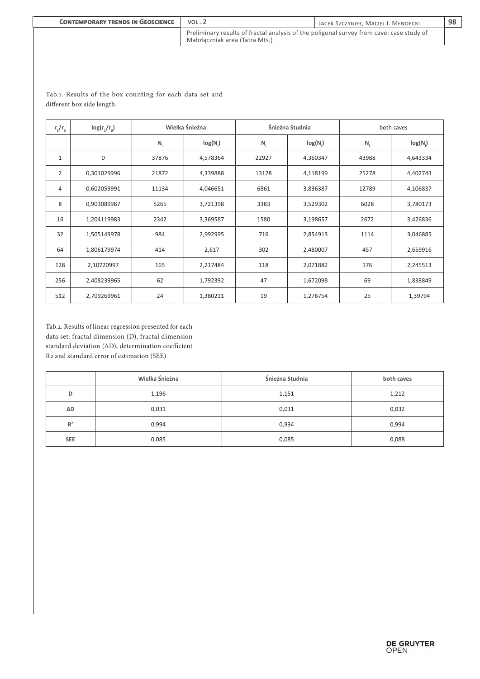| <b>CONTEMPORARY TRENDS IN GEOSCIENCE</b> | VOL.2                                                                                                                      | JACEK SZCZYGIEŁ, MACIEJ J. MENDECKI | 98 |
|------------------------------------------|----------------------------------------------------------------------------------------------------------------------------|-------------------------------------|----|
|                                          | Preliminary results of fractal analysis of the poligonal survey from cave: case study of<br>Małołaczniak area (Tatra Mts.) |                                     |    |

| $r_1/r_0$      | $log(r_1/r_0)$ | Wielka Śnieżna |          | Śnieżna Studnia |          | both caves |          |
|----------------|----------------|----------------|----------|-----------------|----------|------------|----------|
|                |                | $N_i$          | log(N)   | $N_i$           | log(N)   | $N_i$      | log(N)   |
| $\mathbf{1}$   | $\mathbf 0$    | 37876          | 4,578364 | 22927           | 4,360347 | 43988      | 4,643334 |
| $\overline{2}$ | 0,301029996    | 21872          | 4,339888 | 13128           | 4,118199 | 25278      | 4,402743 |
| 4              | 0,602059991    | 11134          | 4,046651 | 6861            | 3,836387 | 12789      | 4,106837 |
| 8              | 0,903089987    | 5265           | 3,721398 | 3383            | 3,529302 | 6028       | 3,780173 |
| 16             | 1,204119983    | 2342           | 3,369587 | 1580            | 3,198657 | 2672       | 3,426836 |
| 32             | 1,505149978    | 984            | 2,992995 | 716             | 2,854913 | 1114       | 3,046885 |
| 64             | 1,806179974    | 414            | 2,617    | 302             | 2,480007 | 457        | 2,659916 |
| 128            | 2,10720997     | 165            | 2,217484 | 118             | 2,071882 | 176        | 2,245513 |
| 256            | 2,408239965    | 62             | 1,792392 | 47              | 1,672098 | 69         | 1,838849 |
| 512            | 2,709269961    | 24             | 1,380211 | 19              | 1,278754 | 25         | 1,39794  |

## Tab.1. Results of the box counting for each data set and different box side length.

Tab.2. Results of linear regression presented for each data set: fractal dimension (D), fractal dimension standard deviation (ΔD), determination coefficient R2 and standard error of estimation (SEE)

|                     | Wielka Śnieżna | Śnieżna Studnia | both caves |
|---------------------|----------------|-----------------|------------|
| D                   | 1,196          | 1,151           | 1,212      |
| $\Delta \mathsf{D}$ | 0,031          | 0,031           | 0,032      |
| R <sup>2</sup>      | 0,994          | 0,994           | 0,994      |
| <b>SEE</b>          | 0,085          | 0,085           | 0,088      |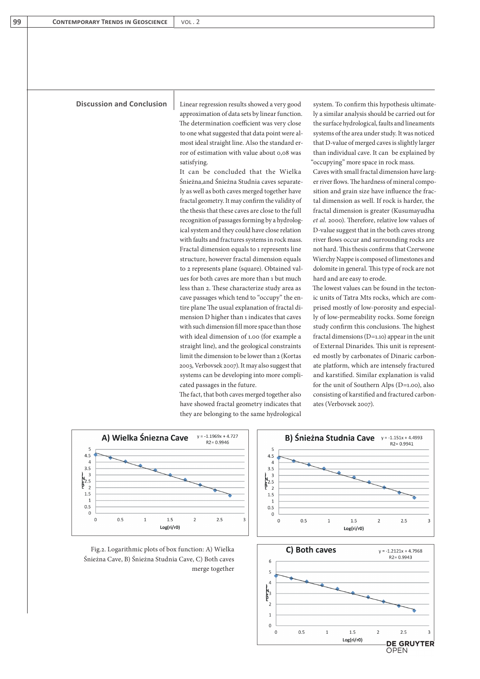## **Discussion and Conclusion**

Linear regression results showed a very good approximation of data sets by linear function. The determination coefficient was very close to one what suggested that data point were almost ideal straight line. Also the standard error of estimation with value about 0,08 was satisfying.

It can be concluded that the Wielka Śnieżna,and Śnieżna Studnia caves separately as well as both caves merged together have fractal geometry. It may confirm the validity of the thesis that these caves are close to the full recognition of passages forming by a hydrological system and they could have close relation with faults and fractures systems in rock mass. Fractal dimension equals to 1 represents line structure, however fractal dimension equals to 2 represents plane (square). Obtained values for both caves are more than 1 but much less than 2. These characterize study area as cave passages which tend to "occupy" the entire plane The usual explanation of fractal dimension D higher than 1 indicates that caves with such dimension fill more space than those with ideal dimension of 1.00 (for example a straight line), and the geological constraints limit the dimension to be lower than 2 (Kortas 2003, Verbovsek 2007). It may also suggest that systems can be developing into more complicated passages in the future.

The fact, that both caves merged together also have showed fractal geometry indicates that they are belonging to the same hydrological

system. To confirm this hypothesis ultimately a similar analysis should be carried out for the surface hydrological, faults and lineaments systems of the area under study. It was noticed that D-value of merged caves is slightly larger than individual cave. It can be explained by "occupying" more space in rock mass.

Caves with small fractal dimension have larger river flows. The hardness of mineral composition and grain size have influence the fractal dimension as well. If rock is harder, the fractal dimension is greater (Kusumayudha *et al.* 2000). Therefore, relative low values of D-value suggest that in the both caves strong river flows occur and surrounding rocks are not hard. This thesis confirms that Czerwone Wierchy Nappe is composed of limestones and dolomite in general. This type of rock are not hard and are easy to erode.

The lowest values can be found in the tectonic units of Tatra Mts rocks, which are comprised mostly of low-porosity and especially of low-permeability rocks. Some foreign study confirm this conclusions. The highest fractal dimensions (D=1.10) appear in the unit of External Dinarides. This unit is represented mostly by carbonates of Dinaric carbonate platform, which are intensely fractured and karstified. Similar explanation is valid for the unit of Southern Alps (D=1.00), also consisting of karstified and fractured carbonates (Verbovsek 2007).



Fig.2. Logarithmic plots of box function: A) Wielka Śnieżna Cave, B) Śnieżna Studnia Cave, C) Both caves merge together